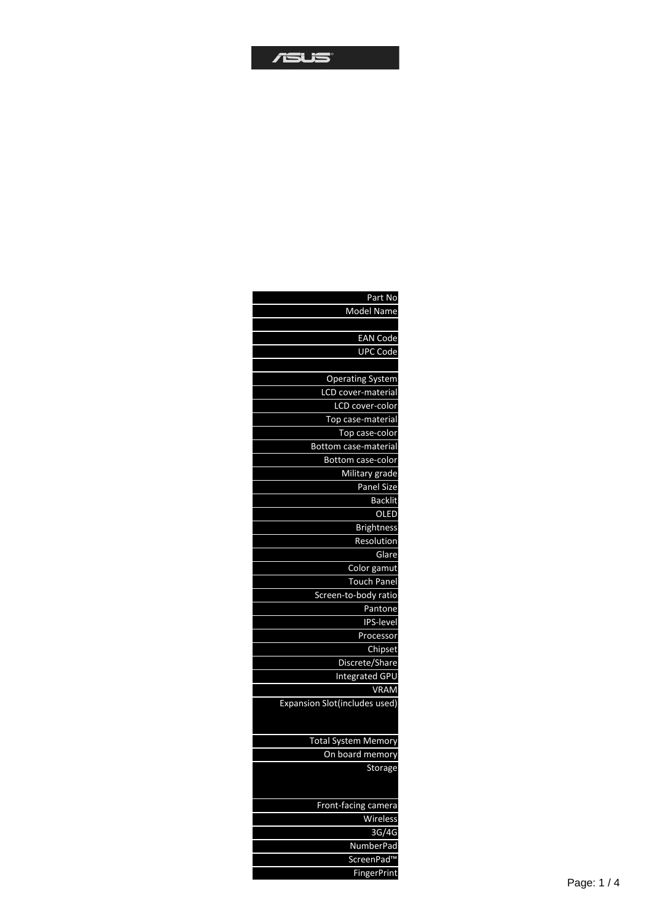| Part No                              |
|--------------------------------------|
| <b>Model Name</b>                    |
|                                      |
| <b>EAN Code</b>                      |
| <b>UPC Code</b>                      |
|                                      |
| <b>Operating System</b>              |
| LCD cover-material                   |
| LCD cover-color                      |
| Top case-material                    |
| Top case-color                       |
| Bottom case-material                 |
| Bottom case-color                    |
| <b>Military grade</b>                |
| <b>Panel Size</b>                    |
| <b>Backlit</b>                       |
| <b>OLED</b>                          |
| <b>Brightness</b>                    |
| Resolution                           |
| Glare                                |
|                                      |
| Color gamut<br><b>Touch Panel</b>    |
| Screen-to-body ratio                 |
|                                      |
| Pantone                              |
| IPS-level                            |
| Processor                            |
| Chipset                              |
| Discrete/Share                       |
| <b>Integrated GPU</b>                |
| <b>VRAM</b>                          |
| <b>Expansion Slot(includes used)</b> |
|                                      |
|                                      |
| <b>Total System Memory</b>           |
| On board memory                      |
| Storage                              |
|                                      |
| Front-facing camera                  |
| Wireless                             |
| 3G/4G                                |
| <b>NumberPad</b>                     |
| ScreenPad™                           |
|                                      |
| <b>FingerPrint</b>                   |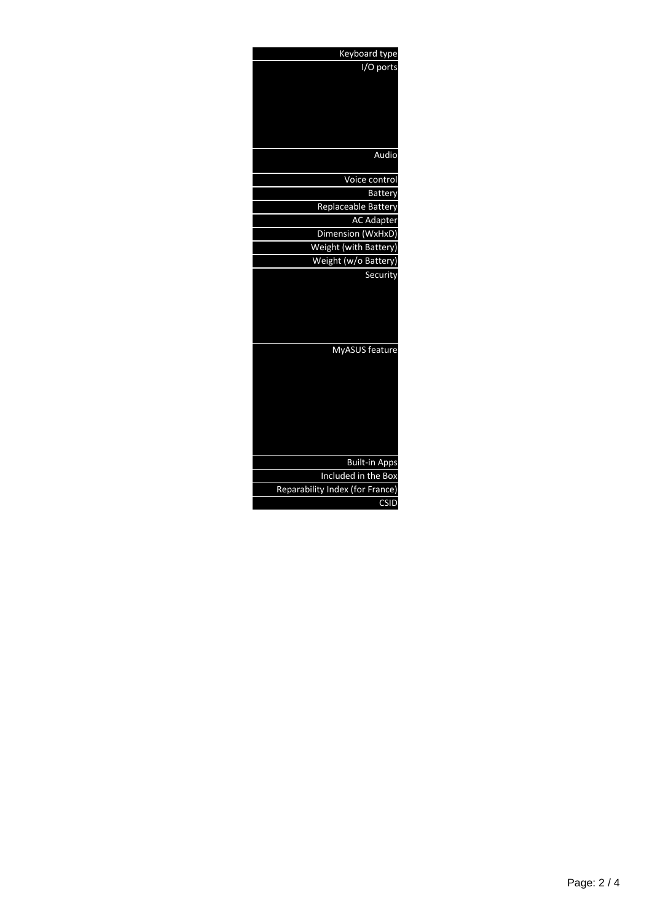| Keyboard type                   |
|---------------------------------|
| I/O ports                       |
|                                 |
|                                 |
|                                 |
|                                 |
|                                 |
|                                 |
| Audio                           |
| Voice control                   |
| Battery                         |
| Replaceable Battery             |
| <b>AC Adapter</b>               |
| Dimension (WxHxD)               |
| Weight (with Battery)           |
| Weight (w/o Battery)            |
| Security                        |
|                                 |
|                                 |
|                                 |
|                                 |
|                                 |
| <b>MyASUS</b> feature           |
|                                 |
|                                 |
|                                 |
|                                 |
|                                 |
|                                 |
|                                 |
| <b>Built-in Apps</b>            |
| Included in the Box             |
| Reparability Index (for France) |
| CSID                            |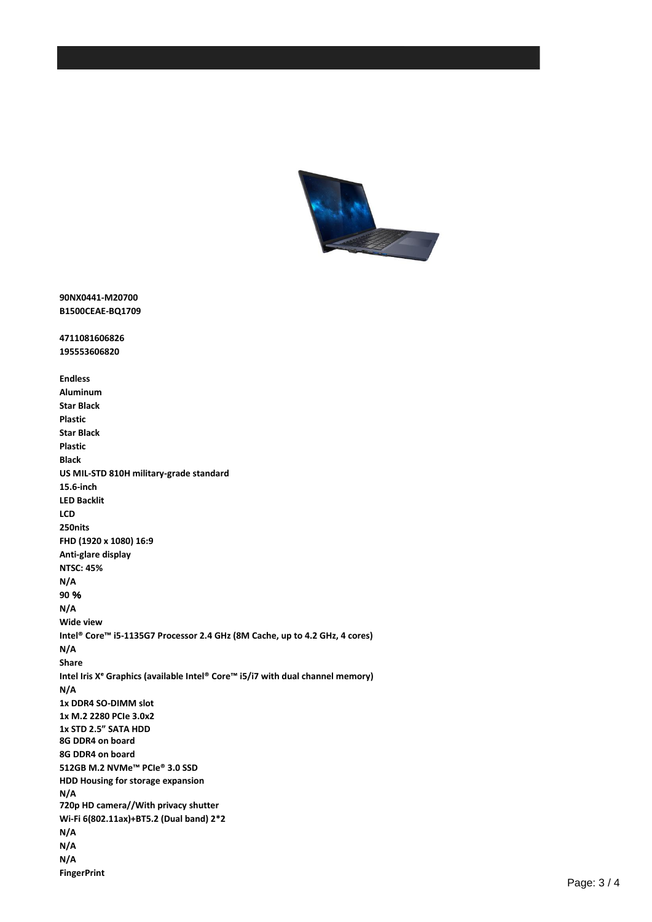

**90NX0441-M20700 B1500CEAE-BQ1709**

**4711081606826 195553606820**

**Endless Aluminum Star Black Plastic Star Black Plastic Black US MIL-STD 810H military-grade standard 15.6-inch LED Backlit LCD 250nits FHD (1920 x 1080) 16:9 Anti-glare display NTSC: 45% N/A 90** % **N/A Wide view Intel® Core™ i5-1135G7 Processor 2.4 GHz (8M Cache, up to 4.2 GHz, 4 cores) N/A Share Intel Iris Xᵉ Graphics (available Intel® Core™ i5/i7 with dual channel memory) N/A 1x DDR4 SO-DIMM slot 1x M.2 2280 PCIe 3.0x2 1x STD 2.5" SATA HDD 8G DDR4 on board 8G DDR4 on board 512GB M.2 NVMe™ PCIe® 3.0 SSD HDD Housing for storage expansion N/A 720p HD camera//With privacy shutter Wi-Fi 6(802.11ax)+BT5.2 (Dual band) 2\*2 N/A N/A N/A FingerPrint**